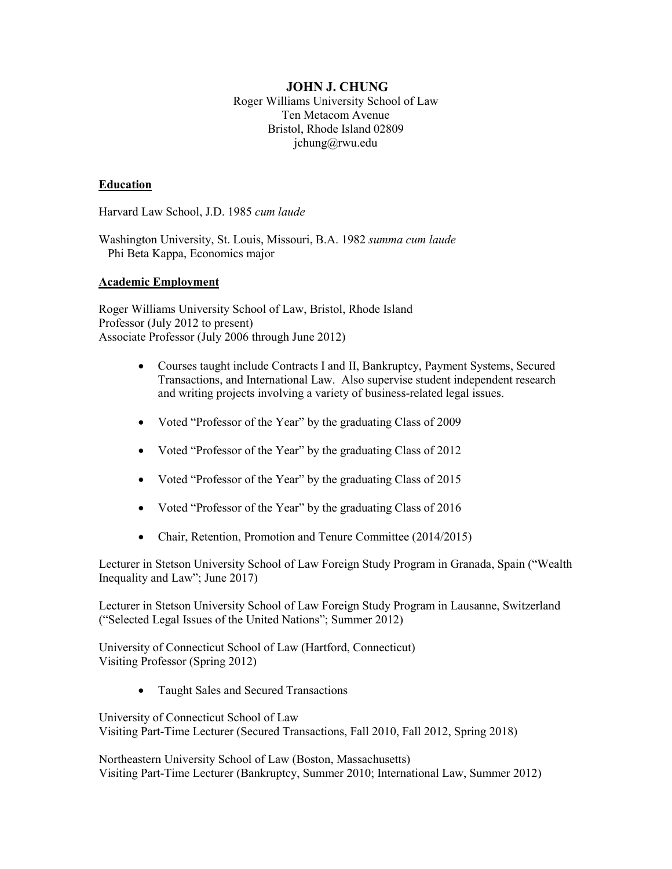#### **JOHN J. CHUNG** Roger Williams University School of Law Ten Metacom Avenue Bristol, Rhode Island 02809 jchung@rwu.edu

#### **Education**

Harvard Law School, J.D. 1985 *cum laude*

Washington University, St. Louis, Missouri, B.A. 1982 *summa cum laude* Phi Beta Kappa, Economics major

#### **Academic Employment**

Roger Williams University School of Law, Bristol, Rhode Island Professor (July 2012 to present) Associate Professor (July 2006 through June 2012)

- Courses taught include Contracts I and II, Bankruptcy, Payment Systems, Secured Transactions, and International Law. Also supervise student independent research and writing projects involving a variety of business-related legal issues.
- Voted "Professor of the Year" by the graduating Class of 2009
- Voted "Professor of the Year" by the graduating Class of 2012
- Voted "Professor of the Year" by the graduating Class of 2015
- Voted "Professor of the Year" by the graduating Class of 2016
- Chair, Retention, Promotion and Tenure Committee (2014/2015)

Lecturer in Stetson University School of Law Foreign Study Program in Granada, Spain ("Wealth Inequality and Law"; June 2017)

Lecturer in Stetson University School of Law Foreign Study Program in Lausanne, Switzerland ("Selected Legal Issues of the United Nations"; Summer 2012)

University of Connecticut School of Law (Hartford, Connecticut) Visiting Professor (Spring 2012)

• Taught Sales and Secured Transactions

University of Connecticut School of Law Visiting Part-Time Lecturer (Secured Transactions, Fall 2010, Fall 2012, Spring 2018)

Northeastern University School of Law (Boston, Massachusetts) Visiting Part-Time Lecturer (Bankruptcy, Summer 2010; International Law, Summer 2012)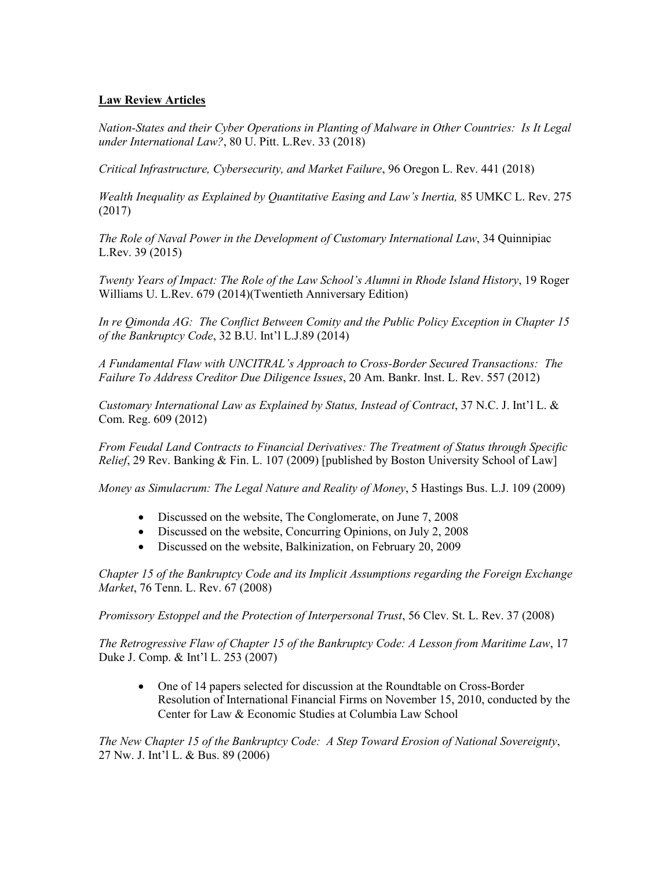# **Law Review Articles**

*Nation-States and their Cyber Operations in Planting of Malware in Other Countries: Is It Legal under International Law?*, 80 U. Pitt. L.Rev. 33 (2018)

*Critical Infrastructure, Cybersecurity, and Market Failure*, 96 Oregon L. Rev. 441 (2018)

*Wealth Inequality as Explained by Quantitative Easing and Law's Inertia,* 85 UMKC L. Rev. 275 (2017)

*The Role of Naval Power in the Development of Customary International Law*, 34 Quinnipiac L.Rev. 39 (2015)

*Twenty Years of Impact: The Role of the Law School's Alumni in Rhode Island History*, 19 Roger Williams U. L.Rev. 679 (2014)(Twentieth Anniversary Edition)

*In re Qimonda AG: The Conflict Between Comity and the Public Policy Exception in Chapter 15 of the Bankruptcy Code*, 32 B.U. Int'l L.J.89 (2014)

*A Fundamental Flaw with UNCITRAL's Approach to Cross-Border Secured Transactions: The Failure To Address Creditor Due Diligence Issues*, 20 Am. Bankr. Inst. L. Rev. 557 (2012)

*Customary International Law as Explained by Status, Instead of Contract*, 37 N.C. J. Int'l L. & Com. Reg. 609 (2012)

*From Feudal Land Contracts to Financial Derivatives: The Treatment of Status through Specific Relief*, 29 Rev. Banking & Fin. L. 107 (2009) [published by Boston University School of Law]

*Money as Simulacrum: The Legal Nature and Reality of Money*, 5 Hastings Bus. L.J. 109 (2009)

- Discussed on the website, The Conglomerate, on June 7, 2008
- Discussed on the website, Concurring Opinions, on July 2, 2008
- Discussed on the website, Balkinization, on February 20, 2009

*Chapter 15 of the Bankruptcy Code and its Implicit Assumptions regarding the Foreign Exchange Market*, 76 Tenn. L. Rev. 67 (2008)

*Promissory Estoppel and the Protection of Interpersonal Trust*, 56 Clev. St. L. Rev. 37 (2008)

*The Retrogressive Flaw of Chapter 15 of the Bankruptcy Code: A Lesson from Maritime Law*, 17 Duke J. Comp. & Int'l L. 253 (2007)

• One of 14 papers selected for discussion at the Roundtable on Cross-Border Resolution of International Financial Firms on November 15, 2010, conducted by the Center for Law & Economic Studies at Columbia Law School

*The New Chapter 15 of the Bankruptcy Code: A Step Toward Erosion of National Sovereignty*, 27 Nw. J. Int'l L. & Bus. 89 (2006)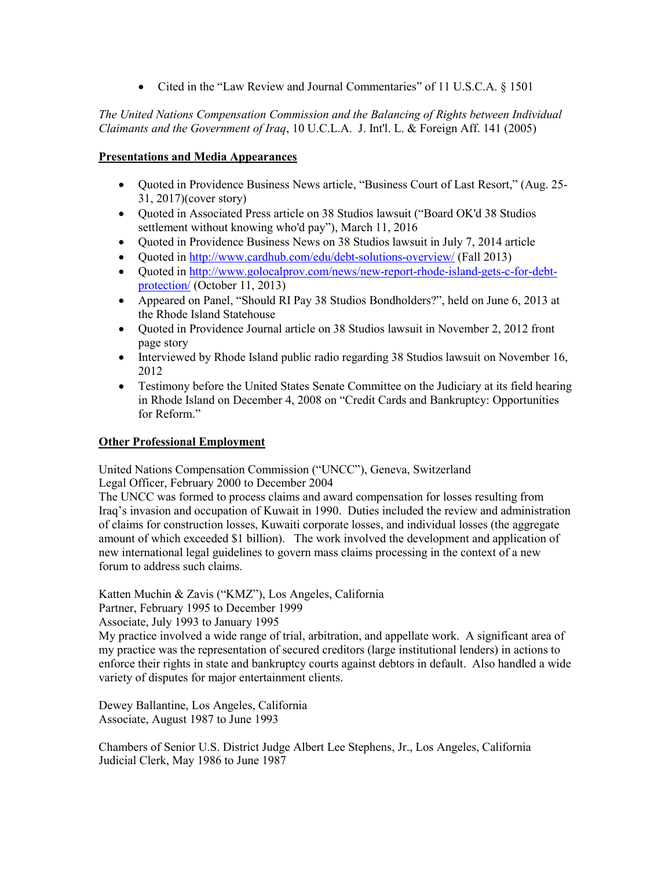• Cited in the "Law Review and Journal Commentaries" of 11 U.S.C.A. § 1501

# *The United Nations Compensation Commission and the Balancing of Rights between Individual Claimants and the Government of Iraq*, 10 U.C.L.A. J. Int'l. L. & Foreign Aff. 141 (2005)

### **Presentations and Media Appearances**

- Quoted in Providence Business News article, "Business Court of Last Resort," (Aug. 25- 31, 2017)(cover story)
- Ouoted in Associated Press article on 38 Studios lawsuit ("Board OK'd 38 Studios" settlement without knowing who'd pay"), March 11, 2016
- Quoted in Providence Business News on 38 Studios lawsuit in July 7, 2014 article
- Quoted in<http://www.cardhub.com/edu/debt-solutions-overview/> (Fall 2013)
- Quoted in [http://www.golocalprov.com/news/new-report-rhode-island-gets-c-for-debt](http://www.golocalprov.com/news/new-report-rhode-island-gets-c-for-debt-protection/)[protection/](http://www.golocalprov.com/news/new-report-rhode-island-gets-c-for-debt-protection/) (October 11, 2013)
- Appeared on Panel, "Should RI Pay 38 Studios Bondholders?", held on June 6, 2013 at the Rhode Island Statehouse
- Ouoted in Providence Journal article on 38 Studios lawsuit in November 2, 2012 front page story
- Interviewed by Rhode Island public radio regarding 38 Studios lawsuit on November 16, 2012
- Testimony before the United States Senate Committee on the Judiciary at its field hearing in Rhode Island on December 4, 2008 on "Credit Cards and Bankruptcy: Opportunities for Reform."

# **Other Professional Employment**

United Nations Compensation Commission ("UNCC"), Geneva, Switzerland Legal Officer, February 2000 to December 2004

The UNCC was formed to process claims and award compensation for losses resulting from Iraq's invasion and occupation of Kuwait in 1990. Duties included the review and administration of claims for construction losses, Kuwaiti corporate losses, and individual losses (the aggregate amount of which exceeded \$1 billion). The work involved the development and application of new international legal guidelines to govern mass claims processing in the context of a new forum to address such claims.

Katten Muchin & Zavis ("KMZ"), Los Angeles, California

Partner, February 1995 to December 1999

Associate, July 1993 to January 1995

My practice involved a wide range of trial, arbitration, and appellate work. A significant area of my practice was the representation of secured creditors (large institutional lenders) in actions to enforce their rights in state and bankruptcy courts against debtors in default. Also handled a wide variety of disputes for major entertainment clients.

Dewey Ballantine, Los Angeles, California Associate, August 1987 to June 1993

Chambers of Senior U.S. District Judge Albert Lee Stephens, Jr., Los Angeles, California Judicial Clerk, May 1986 to June 1987